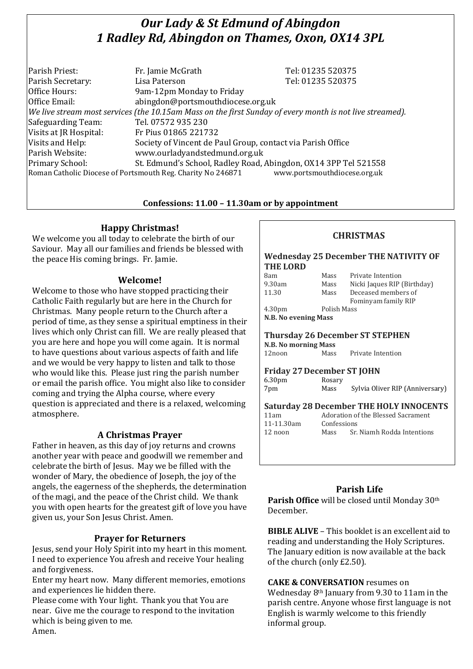# *Our Lady & St Edmund of Abingdon 1 Radley Rd, Abingdon on Thames, Oxon, OX14 3PL*

| Parish Priest:                                                                              | Fr. Jamie McGrath                                                                                        | Tel: 01235 520375 |  |  |
|---------------------------------------------------------------------------------------------|----------------------------------------------------------------------------------------------------------|-------------------|--|--|
| Parish Secretary:                                                                           | Lisa Paterson                                                                                            | Tel: 01235 520375 |  |  |
| Office Hours:                                                                               | 9am-12pm Monday to Friday                                                                                |                   |  |  |
| Office Email:                                                                               | abingdon@portsmouthdiocese.org.uk                                                                        |                   |  |  |
|                                                                                             | We live stream most services (the 10.15am Mass on the first Sunday of every month is not live streamed). |                   |  |  |
| Safeguarding Team:                                                                          | Tel. 07572 935 230                                                                                       |                   |  |  |
| Visits at JR Hospital:                                                                      | Fr Pius 01865 221732                                                                                     |                   |  |  |
| Visits and Help:                                                                            | Society of Vincent de Paul Group, contact via Parish Office                                              |                   |  |  |
| Parish Website:                                                                             | www.ourladyandstedmund.org.uk                                                                            |                   |  |  |
| Primary School:                                                                             | St. Edmund's School, Radley Road, Abingdon, OX14 3PP Tel 521558                                          |                   |  |  |
| www.portsmouthdiocese.org.uk<br>Roman Catholic Diocese of Portsmouth Reg. Charity No 246871 |                                                                                                          |                   |  |  |

# **Confessions: 11.00 – 11.30am or by appointment**

# **Happy Christmas!**

We welcome you all today to celebrate the birth of our Saviour. May all our families and friends be blessed with the peace His coming brings. Fr. Jamie.

#### **Welcome!**

Welcome to those who have stopped practicing their Catholic Faith regularly but are here in the Church for Christmas. Many people return to the Church after a period of time, as they sense a spiritual emptiness in their lives which only Christ can fill. We are really pleased that you are here and hope you will come again. It is normal to have questions about various aspects of faith and life and we would be very happy to listen and talk to those who would like this. Please just ring the parish number or email the parish office. You might also like to consider coming and trying the Alpha course, where every question is appreciated and there is a relaxed, welcoming atmosphere.

#### **A Christmas Prayer**

Father in heaven, as this day of joy returns and crowns another year with peace and goodwill we remember and celebrate the birth of Jesus. May we be filled with the wonder of Mary, the obedience of Joseph, the joy of the angels, the eagerness of the shepherds, the determination of the magi, and the peace of the Christ child. We thank you with open hearts for the greatest gift of love you have given us, your Son Jesus Christ. Amen.

# **Prayer for Returners**

Jesus, send your Holy Spirit into my heart in this moment. I need to experience You afresh and receive Your healing and forgiveness.

Enter my heart now. Many different memories, emotions and experiences lie hidden there.

Please come with Your light. Thank you that You are near. Give me the courage to respond to the invitation which is being given to me. Amen.

# **CHRISTMAS**

#### **Wednesday 25 December THE NATIVITY OF THE LORD**

| 8am                             | Mass        | Private Intention           |  |  |  |
|---------------------------------|-------------|-----------------------------|--|--|--|
| 9.30am                          | Mass        | Nicki Jaques RIP (Birthday) |  |  |  |
| 11.30                           | Mass        | Deceased members of         |  |  |  |
|                                 |             | Fominyam family RIP         |  |  |  |
| 4.30 <sub>pm</sub>              | Polish Mass |                             |  |  |  |
| N.B. No evening Mass            |             |                             |  |  |  |
|                                 |             |                             |  |  |  |
| Thursday 26 December CT CTEDHEN |             |                             |  |  |  |

#### **Thursday 26 December ST STEPHEN N.B. No morning Mass**

12noon Mass Private Intention

#### **Friday 27December ST JOHN**

| 6.30 <sub>pm</sub> | Rosary |                                 |
|--------------------|--------|---------------------------------|
| 7pm                | Mass   | Sylvia Oliver RIP (Anniversary) |

#### **Saturday 28 December THE HOLY INNOCENTS**

| 11am       | Adoration of the Blessed Sacrament |                            |
|------------|------------------------------------|----------------------------|
| 11-11.30am | Confessions                        |                            |
| 12 noon    | Mass                               | Sr. Niamh Rodda Intentions |

# **Parish Life**

**Parish Office** will be closed until Monday 30th December.

**BIBLE ALIVE** – This booklet is an excellent aid to reading and understanding the Holy Scriptures. The January edition is now available at the back of the church (only £2.50).

#### **CAKE & CONVERSATION** resumes on

Wednesday 8th January from 9.30 to 11am in the parish centre. Anyone whose first language is not English is warmly welcome to this friendly informal group.